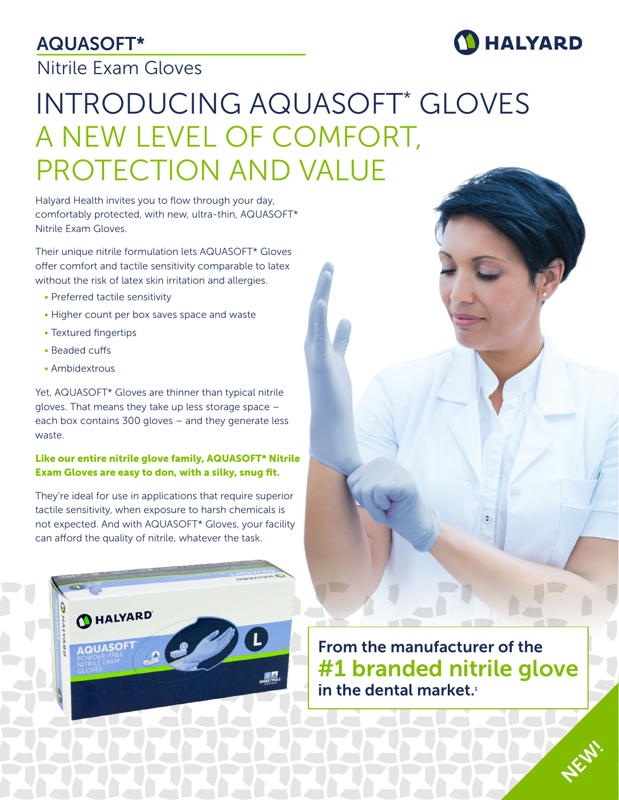# AQUASOFT\*

# Nitrile Exam Gloves



# INTRODUCING AQUASOFT\* GLOVES A NEW LEVEL OF COMFORT, PROTECTION AND VALUE

Halyard Health invites you to flow through your day, comfortably protected, with new, ultra-thin, AQUASOFT\* Nitrile Exam Gloves.

Their unique nitrile formulation lets AQUASOFT\* Gloves offer comfort and tactile sensitivity comparable to latex without the risk of latex skin irritation and allergies.

- Preferred tactile sensitivity
- Higher count per box saves space and waste
- Textured fingertips
- Beaded cuffs
- Ambidextrous

Yet, AQUASOFT\* Gloves are thinner than typical nitrile gloves. That means they take up less storage space – each box contains 300 gloves – and they generate less waste.

#### Like our entire nitrile glove family, AQUASOFT\* Nitrile Exam Gloves are easy to don, with a silky, snug fit.

They're ideal for use in applications that require superior tactile sensitivity, when exposure to harsh chemicals is not expected. And with AQUASOFT\* Gloves, your facility can afford the quality of nitrile, whatever the task.



From the manufacturer of the #1 branded nitrile glove in the dental market.<sup>1</sup>

**NEW!**